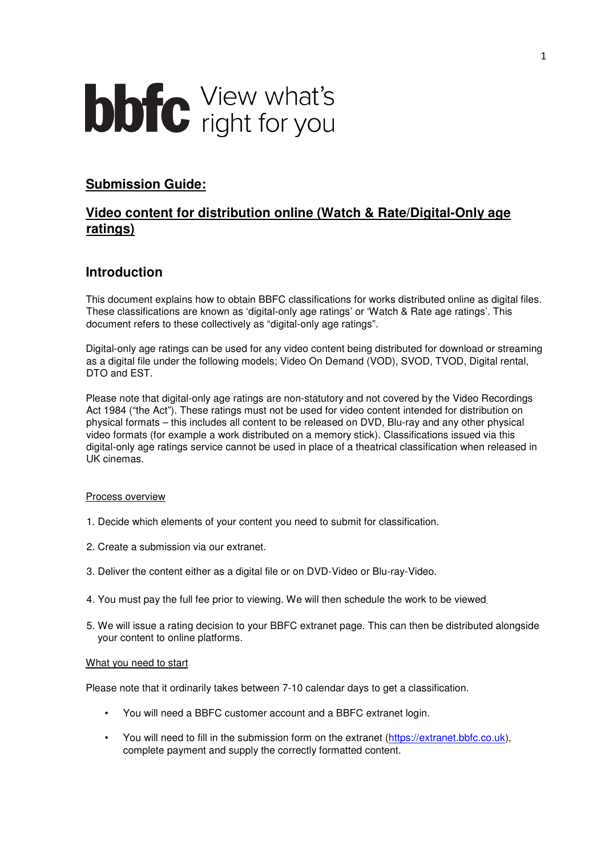# **bbfc** View what's

## **Submission Guide:**

# **Video content for distribution online (Watch & Rate/Digital-Only age ratings)**

## **Introduction**

This document explains how to obtain BBFC classifications for works distributed online as digital files. These classifications are known as 'digital-only age ratings' or 'Watch & Rate age ratings'. This document refers to these collectively as "digital-only age ratings".

Digital-only age ratings can be used for any video content being distributed for download or streaming as a digital file under the following models; Video On Demand (VOD), SVOD, TVOD, Digital rental, DTO and EST.

Please note that digital-only age ratings are non-statutory and not covered by the Video Recordings Act 1984 ("the Act"). These ratings must not be used for video content intended for distribution on physical formats – this includes all content to be released on DVD, Blu-ray and any other physical video formats (for example a work distributed on a memory stick). Classifications issued via this digital-only age ratings service cannot be used in place of a theatrical classification when released in UK cinemas.

#### Process overview

- 1. Decide which elements of your content you need to submit for classification.
- 2. Create a submission via our extranet.
- 3. Deliver the content either as a digital file or on DVD-Video or Blu-ray-Video.
- 4. You must pay the full fee prior to viewing. We will then schedule the work to be viewed.
- 5. We will issue a rating decision to your BBFC extranet page. This can then be distributed alongside your content to online platforms.

#### What you need to start

Please note that it ordinarily takes between 7-10 calendar days to get a classification.

- You will need a BBFC customer account and a BBFC extranet login.
- You will need to fill in the submission form on the extranet (https://extranet.bbfc.co.uk), complete payment and supply the correctly formatted content.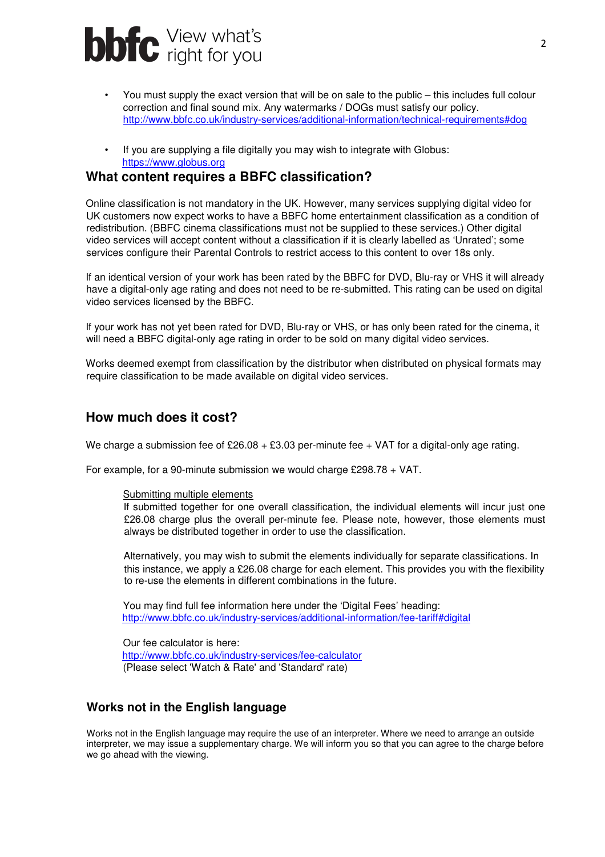

- You must supply the exact version that will be on sale to the public this includes full colour correction and final sound mix. Any watermarks / DOGs must satisfy our policy. http://www.bbfc.co.uk/industry-services/additional-information/technical-requirements#dog
- If you are supplying a file digitally you may wish to integrate with Globus: https://www.globus.org

#### **What content requires a BBFC classification?**

Online classification is not mandatory in the UK. However, many services supplying digital video for UK customers now expect works to have a BBFC home entertainment classification as a condition of redistribution. (BBFC cinema classifications must not be supplied to these services.) Other digital video services will accept content without a classification if it is clearly labelled as 'Unrated'; some services configure their Parental Controls to restrict access to this content to over 18s only.

If an identical version of your work has been rated by the BBFC for DVD, Blu-ray or VHS it will already have a digital-only age rating and does not need to be re-submitted. This rating can be used on digital video services licensed by the BBFC.

If your work has not yet been rated for DVD, Blu-ray or VHS, or has only been rated for the cinema, it will need a BBFC digital-only age rating in order to be sold on many digital video services.

Works deemed exempt from classification by the distributor when distributed on physical formats may require classification to be made available on digital video services.

#### **How much does it cost?**

We charge a submission fee of £26.08  $+$  £3.03 per-minute fee  $+$  VAT for a digital-only age rating.

For example, for a 90-minute submission we would charge £298.78 + VAT.

#### Submitting multiple elements

If submitted together for one overall classification, the individual elements will incur just one £26.08 charge plus the overall per-minute fee. Please note, however, those elements must always be distributed together in order to use the classification.

Alternatively, you may wish to submit the elements individually for separate classifications. In this instance, we apply a £26.08 charge for each element. This provides you with the flexibility to re-use the elements in different combinations in the future.

You may find full fee information here under the 'Digital Fees' heading: http://www.bbfc.co.uk/industry-services/additional-information/fee-tariff#digital

Our fee calculator is here: http://www.bbfc.co.uk/industry-services/fee-calculator (Please select 'Watch & Rate' and 'Standard' rate)

#### **Works not in the English language**

Works not in the English language may require the use of an interpreter. Where we need to arrange an outside interpreter, we may issue a supplementary charge. We will inform you so that you can agree to the charge before we go ahead with the viewing.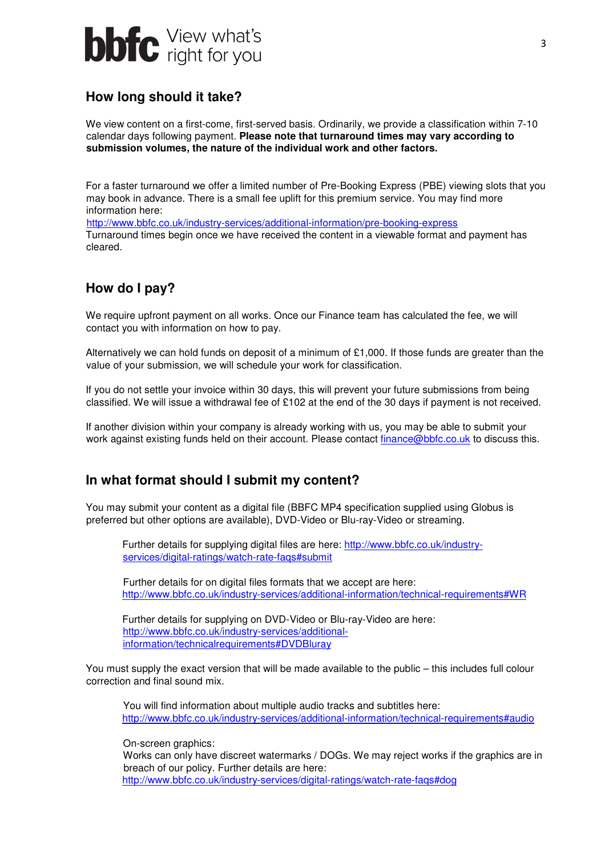

## **How long should it take?**

We view content on a first-come, first-served basis. Ordinarily, we provide a classification within 7-10 calendar days following payment. **Please note that turnaround times may vary according to submission volumes, the nature of the individual work and other factors.** 

For a faster turnaround we offer a limited number of Pre-Booking Express (PBE) viewing slots that you may book in advance. There is a small fee uplift for this premium service. You may find more information here:

http://www.bbfc.co.uk/industry-services/additional-information/pre-booking-express Turnaround times begin once we have received the content in a viewable format and payment has cleared.

# **How do I pay?**

We require upfront payment on all works. Once our Finance team has calculated the fee, we will contact you with information on how to pay.

Alternatively we can hold funds on deposit of a minimum of £1,000. If those funds are greater than the value of your submission, we will schedule your work for classification.

If you do not settle your invoice within 30 days, this will prevent your future submissions from being classified. We will issue a withdrawal fee of £102 at the end of the 30 days if payment is not received.

If another division within your company is already working with us, you may be able to submit your work against existing funds held on their account. Please contact finance@bbfc.co.uk to discuss this.

### **In what format should I submit my content?**

You may submit your content as a digital file (BBFC MP4 specification supplied using Globus is preferred but other options are available), DVD-Video or Blu-ray-Video or streaming.

Further details for supplying digital files are here: http://www.bbfc.co.uk/industryservices/digital-ratings/watch-rate-faqs#submit

Further details for on digital files formats that we accept are here: http://www.bbfc.co.uk/industry-services/additional-information/technical-requirements#WR

Further details for supplying on DVD-Video or Blu-ray-Video are here: http://www.bbfc.co.uk/industry-services/additionalinformation/technicalrequirements#DVDBluray

You must supply the exact version that will be made available to the public – this includes full colour correction and final sound mix.

You will find information about multiple audio tracks and subtitles here: http://www.bbfc.co.uk/industry-services/additional-information/technical-requirements#audio

On-screen graphics:

Works can only have discreet watermarks / DOGs. We may reject works if the graphics are in breach of our policy. Further details are here: http://www.bbfc.co.uk/industry-services/digital-ratings/watch-rate-faqs#dog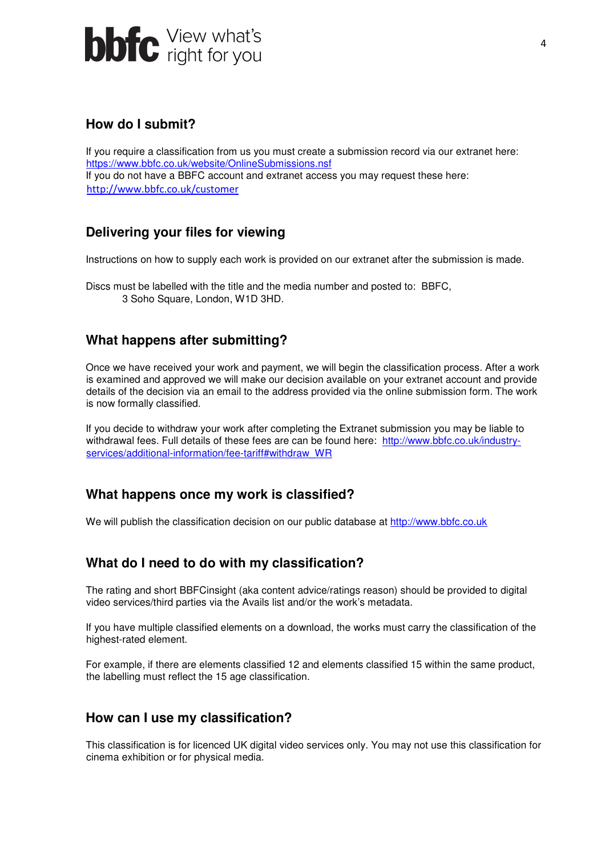

## **How do I submit?**

If you require a classification from us you must create a submission record via our extranet here: https://www.bbfc.co.uk/website/OnlineSubmissions.nsf If you do not have a BBFC account and extranet access you may request these here: http://www.bbfc.co.uk/customer

# **Delivering your files for viewing**

Instructions on how to supply each work is provided on our extranet after the submission is made.

Discs must be labelled with the title and the media number and posted to: BBFC, 3 Soho Square, London, W1D 3HD.

# **What happens after submitting?**

Once we have received your work and payment, we will begin the classification process. After a work is examined and approved we will make our decision available on your extranet account and provide details of the decision via an email to the address provided via the online submission form. The work is now formally classified.

If you decide to withdraw your work after completing the Extranet submission you may be liable to withdrawal fees. Full details of these fees are can be found here: http://www.bbfc.co.uk/industryservices/additional-information/fee-tariff#withdraw\_WR

### **What happens once my work is classified?**

We will publish the classification decision on our public database at http://www.bbfc.co.uk

### **What do I need to do with my classification?**

The rating and short BBFCinsight (aka content advice/ratings reason) should be provided to digital video services/third parties via the Avails list and/or the work's metadata.

If you have multiple classified elements on a download, the works must carry the classification of the highest-rated element.

For example, if there are elements classified 12 and elements classified 15 within the same product, the labelling must reflect the 15 age classification.

### **How can I use my classification?**

This classification is for licenced UK digital video services only. You may not use this classification for cinema exhibition or for physical media.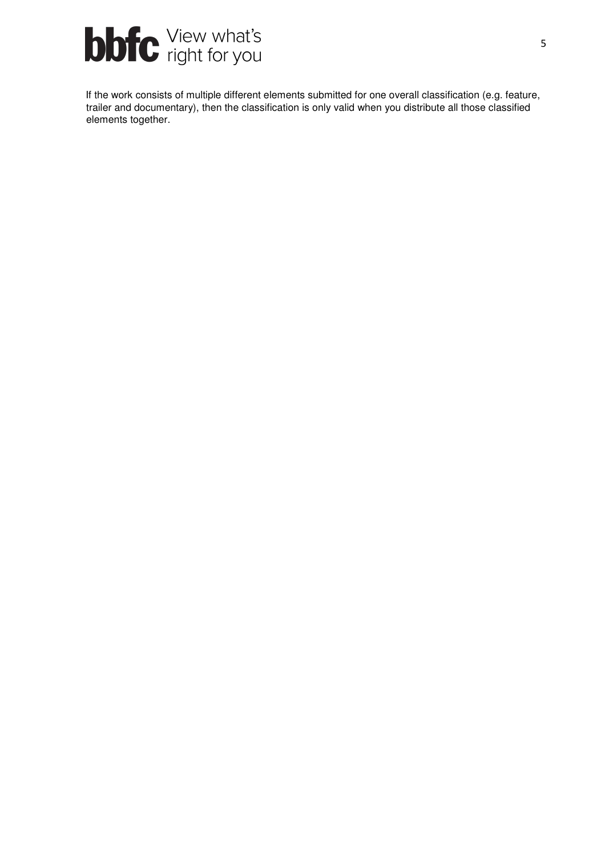

If the work consists of multiple different elements submitted for one overall classification (e.g. feature, trailer and documentary), then the classification is only valid when you distribute all those classified elements together.